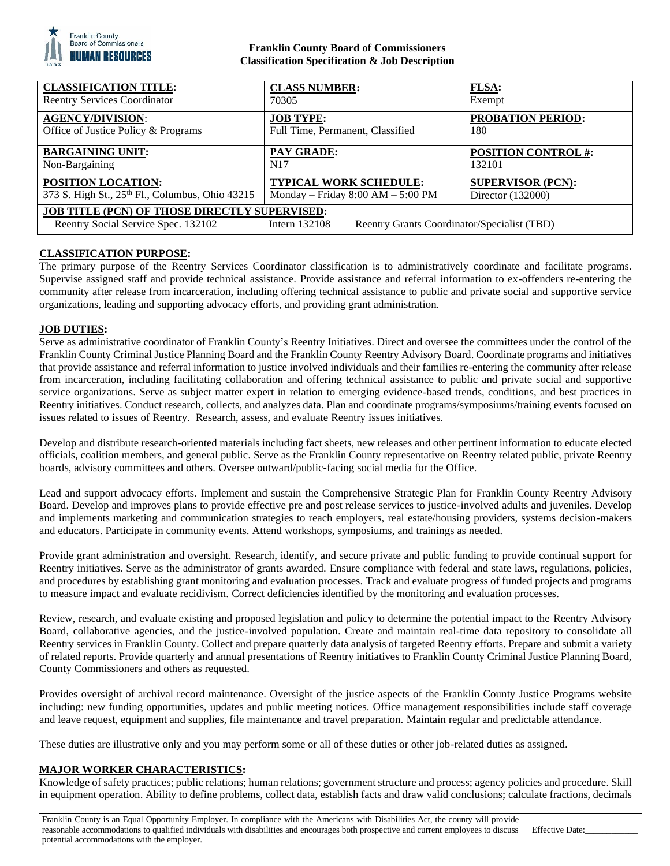

### **Franklin County Board of Commissioners Classification Specification & Job Description**

| <b>CLASSIFICATION TITLE:</b>                                                                                                                                  | <b>CLASS NUMBER:</b>                  | FLSA:                      |
|---------------------------------------------------------------------------------------------------------------------------------------------------------------|---------------------------------------|----------------------------|
| <b>Reentry Services Coordinator</b>                                                                                                                           | 70305                                 | Exempt                     |
| <b>AGENCY/DIVISION:</b>                                                                                                                                       | <b>JOB TYPE:</b>                      | <b>PROBATION PERIOD:</b>   |
| Office of Justice Policy & Programs                                                                                                                           | Full Time, Permanent, Classified      | 180                        |
| <b>BARGAINING UNIT:</b>                                                                                                                                       | <b>PAY GRADE:</b>                     | <b>POSITION CONTROL #:</b> |
| Non-Bargaining                                                                                                                                                | N <sub>17</sub>                       | 132101                     |
| <b>POSITION LOCATION:</b>                                                                                                                                     | <b>TYPICAL WORK SCHEDULE:</b>         | <b>SUPERVISOR (PCN):</b>   |
| 373 S. High St., 25th Fl., Columbus, Ohio 43215                                                                                                               | Monday – Friday $8:00$ AM – $5:00$ PM | Director (132000)          |
| <b>JOB TITLE (PCN) OF THOSE DIRECTLY SUPERVISED:</b><br>Reentry Social Service Spec. 132102<br>Reentry Grants Coordinator/Specialist (TBD)<br>Intern $132108$ |                                       |                            |

# **CLASSIFICATION PURPOSE:**

The primary purpose of the Reentry Services Coordinator classification is to administratively coordinate and facilitate programs. Supervise assigned staff and provide technical assistance. Provide assistance and referral information to ex-offenders re-entering the community after release from incarceration, including offering technical assistance to public and private social and supportive service organizations, leading and supporting advocacy efforts, and providing grant administration.

# **JOB DUTIES:**

Serve as administrative coordinator of Franklin County's Reentry Initiatives. Direct and oversee the committees under the control of the Franklin County Criminal Justice Planning Board and the Franklin County Reentry Advisory Board. Coordinate programs and initiatives that provide assistance and referral information to justice involved individuals and their families re-entering the community after release from incarceration, including facilitating collaboration and offering technical assistance to public and private social and supportive service organizations. Serve as subject matter expert in relation to emerging evidence-based trends, conditions, and best practices in Reentry initiatives. Conduct research, collects, and analyzes data. Plan and coordinate programs/symposiums/training events focused on issues related to issues of Reentry. Research, assess, and evaluate Reentry issues initiatives.

Develop and distribute research-oriented materials including fact sheets, new releases and other pertinent information to educate elected officials, coalition members, and general public. Serve as the Franklin County representative on Reentry related public, private Reentry boards, advisory committees and others. Oversee outward/public-facing social media for the Office.

Lead and support advocacy efforts. Implement and sustain the Comprehensive Strategic Plan for Franklin County Reentry Advisory Board. Develop and improves plans to provide effective pre and post release services to justice-involved adults and juveniles. Develop and implements marketing and communication strategies to reach employers, real estate/housing providers, systems decision-makers and educators. Participate in community events. Attend workshops, symposiums, and trainings as needed.

Provide grant administration and oversight. Research, identify, and secure private and public funding to provide continual support for Reentry initiatives. Serve as the administrator of grants awarded. Ensure compliance with federal and state laws, regulations, policies, and procedures by establishing grant monitoring and evaluation processes. Track and evaluate progress of funded projects and programs to measure impact and evaluate recidivism. Correct deficiencies identified by the monitoring and evaluation processes.

Review, research, and evaluate existing and proposed legislation and policy to determine the potential impact to the Reentry Advisory Board, collaborative agencies, and the justice-involved population. Create and maintain real-time data repository to consolidate all Reentry services in Franklin County. Collect and prepare quarterly data analysis of targeted Reentry efforts. Prepare and submit a variety of related reports. Provide quarterly and annual presentations of Reentry initiatives to Franklin County Criminal Justice Planning Board, County Commissioners and others as requested.

Provides oversight of archival record maintenance. Oversight of the justice aspects of the Franklin County Justice Programs website including: new funding opportunities, updates and public meeting notices. Office management responsibilities include staff coverage and leave request, equipment and supplies, file maintenance and travel preparation. Maintain regular and predictable attendance.

These duties are illustrative only and you may perform some or all of these duties or other job-related duties as assigned.

### **MAJOR WORKER CHARACTERISTICS:**

Knowledge of safety practices; public relations; human relations; government structure and process; agency policies and procedure. Skill in equipment operation. Ability to define problems, collect data, establish facts and draw valid conclusions; calculate fractions, decimals

Franklin County is an Equal Opportunity Employer. In compliance with the Americans with Disabilities Act, the county will provide reasonable accommodations to qualified individuals with disabilities and encourages both prospective and current employees to discuss potential accommodations with the employer. Effective Date: